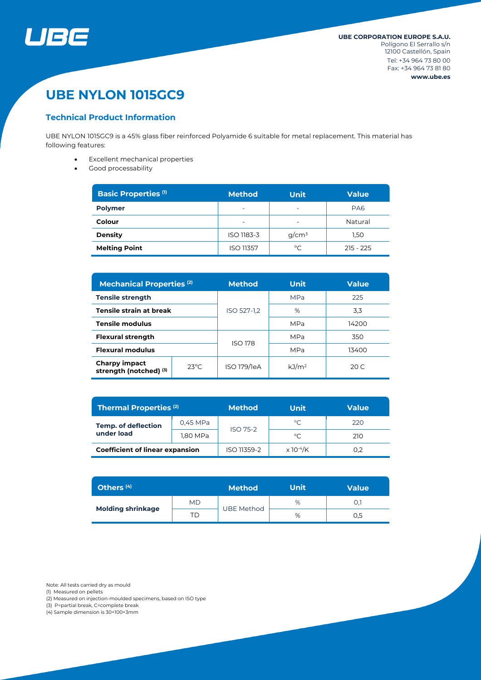

# **UBE NYLON 1015GC9**

## **Technical Product Information**

UBE NYLON 1015GC9 is a 45% glass fiber reinforced Polyamide 6 suitable for metal replacement. This material has following features:

- Excellent mechanical properties
- Good processability

| <b>Basic Properties (1)</b> | <b>Method</b>                                        | <b>Unit</b> | <b>Value</b>    |  |
|-----------------------------|------------------------------------------------------|-------------|-----------------|--|
| <b>Polymer</b>              | $\overline{\phantom{a}}$<br>۰                        |             | PA <sub>6</sub> |  |
| Colour                      | $\overline{\phantom{0}}$<br>$\overline{\phantom{0}}$ |             | Natural         |  |
| <b>Density</b>              | ISO 1183-3                                           | $q/cm^3$    | 1,50            |  |
| <b>Melting Point</b>        | <b>ISO 11357</b>                                     | °C          | $215 - 225$     |  |

| <b>Mechanical Properties (2)</b>               |                 | <b>Unit</b><br><b>Method</b> |                   | <b>Value</b> |  |
|------------------------------------------------|-----------------|------------------------------|-------------------|--------------|--|
| <b>Tensile strength</b>                        |                 | ISO 527-1.2                  | <b>MPa</b>        | 225          |  |
| Tensile strain at break                        |                 |                              | %                 | 3,3          |  |
| <b>Tensile modulus</b>                         |                 |                              | MPa               | 14200        |  |
| <b>Flexural strength</b>                       |                 | <b>ISO 178</b>               | MPa               | 350          |  |
| <b>Flexural modulus</b>                        |                 |                              | MPa               | 13400        |  |
| <b>Charpy impact</b><br>strength (notched) (3) | $23^{\circ}$ C. | ISO 179/1eA                  | kJ/m <sup>2</sup> | 20 $C$       |  |

| Thermal Properties <sup>(2)</sup>        |          | <b>Method</b><br>Unit |                              | <b>Value</b> |  |
|------------------------------------------|----------|-----------------------|------------------------------|--------------|--|
| <b>Temp. of deflection</b><br>under load | 0,45 MPa | <b>ISO 75-2</b>       | $^{\circ}C$                  | 220          |  |
|                                          | 1,80 MPa |                       | $^{\circ}C$                  | 210          |  |
| <b>Coefficient of linear expansion</b>   |          | ISO 11359-2           | $\times$ 10 <sup>-4</sup> /K | 0.2          |  |

| Others <sup>(4)</sup>    |     | <b>Method</b>     | <b>Unit</b> | <b>Value</b> |
|--------------------------|-----|-------------------|-------------|--------------|
| <b>Molding shrinkage</b> | MD  |                   | %           |              |
|                          | TD. | <b>UBE Method</b> | %           | 0,5          |

Note: All tests carried dry as mould

(1) Measured on pellets

(2) Measured on injection-moulded specimens, based on ISO type

(3) P=partial break, C=complete break

(4) Sample dimension is 30×100×3mm